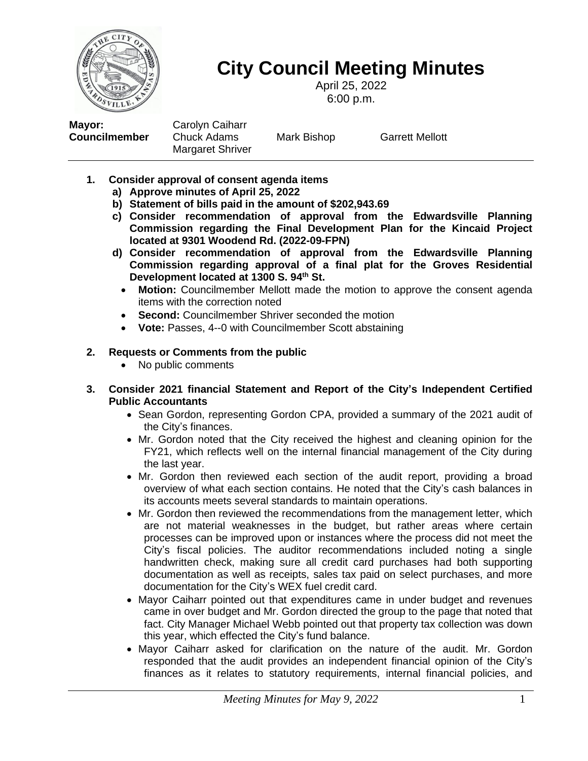

# **City Council Meeting Minutes**

April 25, 2022 6:00 p.m.

**Mayor:** Carolyn Caiharr **Councilmember** Chuck Adams Mark Bishop Garrett Mellott Margaret Shriver

- **1. Consider approval of consent agenda items**
	- **a) Approve minutes of April 25, 2022**
	- **b) Statement of bills paid in the amount of \$202,943.69**
	- **c) Consider recommendation of approval from the Edwardsville Planning Commission regarding the Final Development Plan for the Kincaid Project located at 9301 Woodend Rd. (2022-09-FPN)**
	- **d) Consider recommendation of approval from the Edwardsville Planning Commission regarding approval of a final plat for the Groves Residential Development located at 1300 S. 94th St.**
		- **Motion:** Councilmember Mellott made the motion to approve the consent agenda items with the correction noted
		- **Second:** Councilmember Shriver seconded the motion
		- **Vote:** Passes, 4--0 with Councilmember Scott abstaining

# **2. Requests or Comments from the public**

• No public comments

#### **3. Consider 2021 financial Statement and Report of the City's Independent Certified Public Accountants**

- Sean Gordon, representing Gordon CPA, provided a summary of the 2021 audit of the City's finances.
- Mr. Gordon noted that the City received the highest and cleaning opinion for the FY21, which reflects well on the internal financial management of the City during the last year.
- Mr. Gordon then reviewed each section of the audit report, providing a broad overview of what each section contains. He noted that the City's cash balances in its accounts meets several standards to maintain operations.
- Mr. Gordon then reviewed the recommendations from the management letter, which are not material weaknesses in the budget, but rather areas where certain processes can be improved upon or instances where the process did not meet the City's fiscal policies. The auditor recommendations included noting a single handwritten check, making sure all credit card purchases had both supporting documentation as well as receipts, sales tax paid on select purchases, and more documentation for the City's WEX fuel credit card.
- Mayor Caiharr pointed out that expenditures came in under budget and revenues came in over budget and Mr. Gordon directed the group to the page that noted that fact. City Manager Michael Webb pointed out that property tax collection was down this year, which effected the City's fund balance.
- Mayor Caiharr asked for clarification on the nature of the audit. Mr. Gordon responded that the audit provides an independent financial opinion of the City's finances as it relates to statutory requirements, internal financial policies, and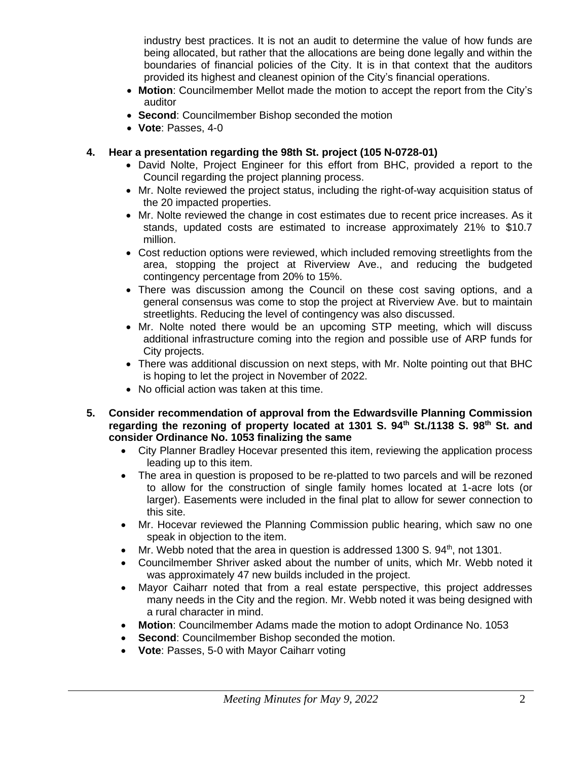industry best practices. It is not an audit to determine the value of how funds are being allocated, but rather that the allocations are being done legally and within the boundaries of financial policies of the City. It is in that context that the auditors provided its highest and cleanest opinion of the City's financial operations.

- **Motion**: Councilmember Mellot made the motion to accept the report from the City's auditor
- **Second**: Councilmember Bishop seconded the motion
- **Vote**: Passes, 4-0

#### **4. Hear a presentation regarding the 98th St. project (105 N-0728-01)**

- David Nolte, Project Engineer for this effort from BHC, provided a report to the Council regarding the project planning process.
- Mr. Nolte reviewed the project status, including the right-of-way acquisition status of the 20 impacted properties.
- Mr. Nolte reviewed the change in cost estimates due to recent price increases. As it stands, updated costs are estimated to increase approximately 21% to \$10.7 million.
- Cost reduction options were reviewed, which included removing streetlights from the area, stopping the project at Riverview Ave., and reducing the budgeted contingency percentage from 20% to 15%.
- There was discussion among the Council on these cost saving options, and a general consensus was come to stop the project at Riverview Ave. but to maintain streetlights. Reducing the level of contingency was also discussed.
- Mr. Nolte noted there would be an upcoming STP meeting, which will discuss additional infrastructure coming into the region and possible use of ARP funds for City projects.
- There was additional discussion on next steps, with Mr. Nolte pointing out that BHC is hoping to let the project in November of 2022.
- No official action was taken at this time.
- **5. Consider recommendation of approval from the Edwardsville Planning Commission regarding the rezoning of property located at 1301 S. 94th St./1138 S. 98th St. and consider Ordinance No. 1053 finalizing the same**
	- City Planner Bradley Hocevar presented this item, reviewing the application process leading up to this item.
	- The area in question is proposed to be re-platted to two parcels and will be rezoned to allow for the construction of single family homes located at 1-acre lots (or larger). Easements were included in the final plat to allow for sewer connection to this site.
	- Mr. Hocevar reviewed the Planning Commission public hearing, which saw no one speak in objection to the item.
	- Mr. Webb noted that the area in question is addressed 1300 S. 94<sup>th</sup>, not 1301.
	- Councilmember Shriver asked about the number of units, which Mr. Webb noted it was approximately 47 new builds included in the project.
	- Mayor Caiharr noted that from a real estate perspective, this project addresses many needs in the City and the region. Mr. Webb noted it was being designed with a rural character in mind.
	- **Motion**: Councilmember Adams made the motion to adopt Ordinance No. 1053
	- **Second:** Councilmember Bishop seconded the motion.
	- **Vote**: Passes, 5-0 with Mayor Caiharr voting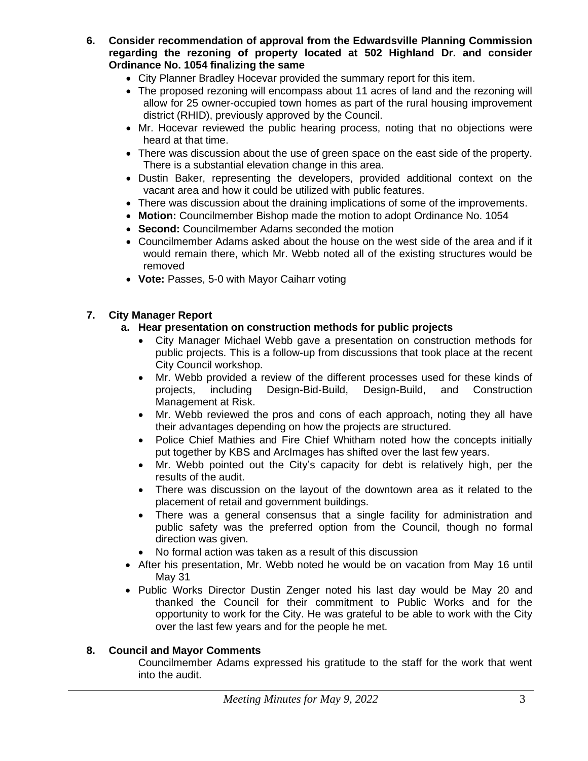- **6. Consider recommendation of approval from the Edwardsville Planning Commission regarding the rezoning of property located at 502 Highland Dr. and consider Ordinance No. 1054 finalizing the same**
	- City Planner Bradley Hocevar provided the summary report for this item.
	- The proposed rezoning will encompass about 11 acres of land and the rezoning will allow for 25 owner-occupied town homes as part of the rural housing improvement district (RHID), previously approved by the Council.
	- Mr. Hocevar reviewed the public hearing process, noting that no objections were heard at that time.
	- There was discussion about the use of green space on the east side of the property. There is a substantial elevation change in this area.
	- Dustin Baker, representing the developers, provided additional context on the vacant area and how it could be utilized with public features.
	- There was discussion about the draining implications of some of the improvements.
	- **Motion:** Councilmember Bishop made the motion to adopt Ordinance No. 1054
	- **Second:** Councilmember Adams seconded the motion
	- Councilmember Adams asked about the house on the west side of the area and if it would remain there, which Mr. Webb noted all of the existing structures would be removed
	- **Vote:** Passes, 5-0 with Mayor Caiharr voting

# **7. City Manager Report**

#### **a. Hear presentation on construction methods for public projects**

- City Manager Michael Webb gave a presentation on construction methods for public projects. This is a follow-up from discussions that took place at the recent City Council workshop.
- Mr. Webb provided a review of the different processes used for these kinds of projects, including Design-Bid-Build, Design-Build, and Construction Management at Risk.
- Mr. Webb reviewed the pros and cons of each approach, noting they all have their advantages depending on how the projects are structured.
- Police Chief Mathies and Fire Chief Whitham noted how the concepts initially put together by KBS and ArcImages has shifted over the last few years.
- Mr. Webb pointed out the City's capacity for debt is relatively high, per the results of the audit.
- There was discussion on the layout of the downtown area as it related to the placement of retail and government buildings.
- There was a general consensus that a single facility for administration and public safety was the preferred option from the Council, though no formal direction was given.
- No formal action was taken as a result of this discussion
- After his presentation, Mr. Webb noted he would be on vacation from May 16 until May 31
- Public Works Director Dustin Zenger noted his last day would be May 20 and thanked the Council for their commitment to Public Works and for the opportunity to work for the City. He was grateful to be able to work with the City over the last few years and for the people he met.

# **8. Council and Mayor Comments**

Councilmember Adams expressed his gratitude to the staff for the work that went into the audit.